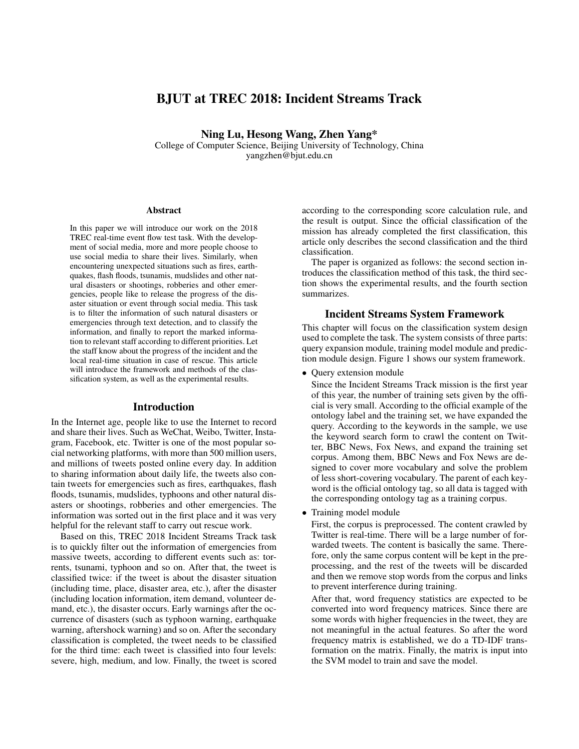# BJUT at TREC 2018: Incident Streams Track

Ning Lu, Hesong Wang, Zhen Yang\*

College of Computer Science, Beijing University of Technology, China yangzhen@bjut.edu.cn

#### **Abstract**

In this paper we will introduce our work on the 2018 TREC real-time event flow test task. With the development of social media, more and more people choose to use social media to share their lives. Similarly, when encountering unexpected situations such as fires, earthquakes, flash floods, tsunamis, mudslides and other natural disasters or shootings, robberies and other emergencies, people like to release the progress of the disaster situation or event through social media. This task is to filter the information of such natural disasters or emergencies through text detection, and to classify the information, and finally to report the marked information to relevant staff according to different priorities. Let the staff know about the progress of the incident and the local real-time situation in case of rescue. This article will introduce the framework and methods of the classification system, as well as the experimental results.

#### Introduction

In the Internet age, people like to use the Internet to record and share their lives. Such as WeChat, Weibo, Twitter, Instagram, Facebook, etc. Twitter is one of the most popular social networking platforms, with more than 500 million users, and millions of tweets posted online every day. In addition to sharing information about daily life, the tweets also contain tweets for emergencies such as fires, earthquakes, flash floods, tsunamis, mudslides, typhoons and other natural disasters or shootings, robberies and other emergencies. The information was sorted out in the first place and it was very helpful for the relevant staff to carry out rescue work.

Based on this, TREC 2018 Incident Streams Track task is to quickly filter out the information of emergencies from massive tweets, according to different events such as: torrents, tsunami, typhoon and so on. After that, the tweet is classified twice: if the tweet is about the disaster situation (including time, place, disaster area, etc.), after the disaster (including location information, item demand, volunteer demand, etc.), the disaster occurs. Early warnings after the occurrence of disasters (such as typhoon warning, earthquake warning, aftershock warning) and so on. After the secondary classification is completed, the tweet needs to be classified for the third time: each tweet is classified into four levels: severe, high, medium, and low. Finally, the tweet is scored

according to the corresponding score calculation rule, and the result is output. Since the official classification of the mission has already completed the first classification, this article only describes the second classification and the third classification.

The paper is organized as follows: the second section introduces the classification method of this task, the third section shows the experimental results, and the fourth section summarizes.

#### Incident Streams System Framework

This chapter will focus on the classification system design used to complete the task. The system consists of three parts: query expansion module, training model module and prediction module design. Figure 1 shows our system framework.

• Query extension module

Since the Incident Streams Track mission is the first year of this year, the number of training sets given by the official is very small. According to the official example of the ontology label and the training set, we have expanded the query. According to the keywords in the sample, we use the keyword search form to crawl the content on Twitter, BBC News, Fox News, and expand the training set corpus. Among them, BBC News and Fox News are designed to cover more vocabulary and solve the problem of less short-covering vocabulary. The parent of each keyword is the official ontology tag, so all data is tagged with the corresponding ontology tag as a training corpus.

• Training model module

First, the corpus is preprocessed. The content crawled by Twitter is real-time. There will be a large number of forwarded tweets. The content is basically the same. Therefore, only the same corpus content will be kept in the preprocessing, and the rest of the tweets will be discarded and then we remove stop words from the corpus and links to prevent interference during training.

After that, word frequency statistics are expected to be converted into word frequency matrices. Since there are some words with higher frequencies in the tweet, they are not meaningful in the actual features. So after the word frequency matrix is established, we do a TD-IDF transformation on the matrix. Finally, the matrix is input into the SVM model to train and save the model.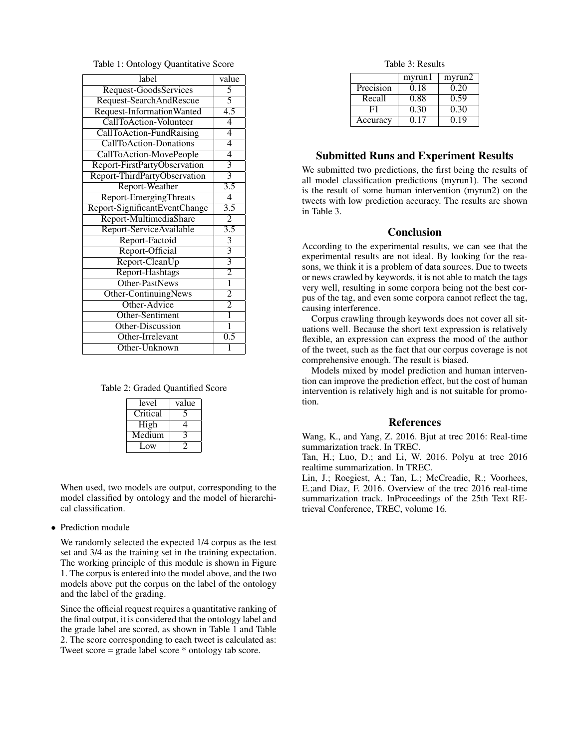Table 1: Ontology Quantitative Score

| label                         | value                     |
|-------------------------------|---------------------------|
| Request-GoodsServices         | 5                         |
| Request-SearchAndRescue       | 5                         |
| Request-InformationWanted     | $\overline{4.5}$          |
| <b>CallToAction-Volunteer</b> | 4                         |
| CallToAction-FundRaising      | $\overline{4}$            |
| <b>CallToAction-Donations</b> | $\overline{4}$            |
| CallToAction-MovePeople       | 4                         |
| Report-FirstPartyObservation  | $\overline{\overline{3}}$ |
| Report-ThirdPartyObservation  | $\overline{3}$            |
| Report-Weather                | $\overline{3.5}$          |
| <b>Report-EmergingThreats</b> | $\overline{4}$            |
| Report-SignificantEventChange | $\overline{3.5}$          |
| Report-MultimediaShare        | $\overline{2}$            |
| Report-ServiceAvailable       | $\overline{3.5}$          |
| Report-Factoid                | $\overline{\overline{3}}$ |
| Report-Official               | $\overline{3}$            |
| Report-CleanUp                | $\overline{3}$            |
| Report-Hashtags               | $\overline{2}$            |
| Other-PastNews                | ī                         |
| Other-ContinuingNews          | $\overline{2}$            |
| Other-Advice                  | $\overline{2}$            |
| Other-Sentiment               | $\overline{1}$            |
| Other-Discussion              | 1                         |
| Other-Irrelevant              | 0.5                       |
| Other-Unknown                 | 1                         |

Table 2: Graded Quantified Score

| level    | value |
|----------|-------|
| Critical |       |
| High     |       |
| Medium   |       |
| $L$ OW   |       |

When used, two models are output, corresponding to the model classified by ontology and the model of hierarchical classification.

#### • Prediction module

We randomly selected the expected 1/4 corpus as the test set and 3/4 as the training set in the training expectation. The working principle of this module is shown in Figure 1. The corpus is entered into the model above, and the two models above put the corpus on the label of the ontology and the label of the grading.

Since the official request requires a quantitative ranking of the final output, it is considered that the ontology label and the grade label are scored, as shown in Table 1 and Table 2. The score corresponding to each tweet is calculated as: Tweet score = grade label score \* ontology tab score.

Table 3: Results

|           | myrun1 | myrun2 |
|-----------|--------|--------|
| Precision | 0.18   | 0.20   |
| Recall    | 0.88   | 0.59   |
| F1        | 0.30   | 0.30   |
| Accuracy  | O 17   | 0.19   |

## Submitted Runs and Experiment Results

We submitted two predictions, the first being the results of all model classification predictions (myrun1). The second is the result of some human intervention (myrun2) on the tweets with low prediction accuracy. The results are shown in Table 3.

### Conclusion

According to the experimental results, we can see that the experimental results are not ideal. By looking for the reasons, we think it is a problem of data sources. Due to tweets or news crawled by keywords, it is not able to match the tags very well, resulting in some corpora being not the best corpus of the tag, and even some corpora cannot reflect the tag, causing interference.

Corpus crawling through keywords does not cover all situations well. Because the short text expression is relatively flexible, an expression can express the mood of the author of the tweet, such as the fact that our corpus coverage is not comprehensive enough. The result is biased.

Models mixed by model prediction and human intervention can improve the prediction effect, but the cost of human intervention is relatively high and is not suitable for promotion.

#### References

Wang, K., and Yang, Z. 2016. Bjut at trec 2016: Real-time summarization track. In TREC.

Tan, H.; Luo, D.; and Li, W. 2016. Polyu at trec 2016 realtime summarization. In TREC.

Lin, J.; Roegiest, A.; Tan, L.; McCreadie, R.; Voorhees, E.;and Diaz, F. 2016. Overview of the trec 2016 real-time summarization track. InProceedings of the 25th Text REtrieval Conference, TREC, volume 16.